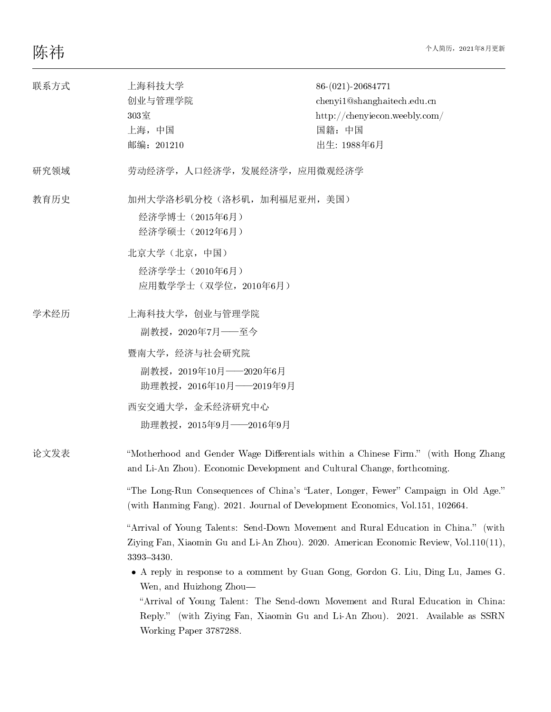| 联系方式 | 上海科技大学<br>创业与管理学院<br>303室<br>上海, 中国<br>邮编: 201210                                                                                                                                                                                                                                                                                                                                                                                                                                                                                                                                                                                                                                                                                                                                                                                              | 86-(021)-20684771<br>chenyi1@shanghaitech.edu.cn<br>http://chenyiecon.weebly.com/<br>国籍:中国<br>出生: 1988年6月 |
|------|------------------------------------------------------------------------------------------------------------------------------------------------------------------------------------------------------------------------------------------------------------------------------------------------------------------------------------------------------------------------------------------------------------------------------------------------------------------------------------------------------------------------------------------------------------------------------------------------------------------------------------------------------------------------------------------------------------------------------------------------------------------------------------------------------------------------------------------------|-----------------------------------------------------------------------------------------------------------|
| 研究领域 | 劳动经济学, 人口经济学, 发展经济学, 应用微观经济学                                                                                                                                                                                                                                                                                                                                                                                                                                                                                                                                                                                                                                                                                                                                                                                                                   |                                                                                                           |
| 教育历史 | 加州大学洛杉矶分校 (洛杉矶, 加利福尼亚州, 美国)<br>经济学博士 (2015年6月)<br>经济学硕士 (2012年6月)<br>北京大学(北京,中国)<br>经济学学士 (2010年6月)<br>应用数学学士(双学位, 2010年6月)                                                                                                                                                                                                                                                                                                                                                                                                                                                                                                                                                                                                                                                                                                                    |                                                                                                           |
| 学术经历 | 上海科技大学, 创业与管理学院<br>副教授, 2020年7月——至今<br>暨南大学, 经济与社会研究院<br>副教授, 2019年10月 - 2020年6月<br>助理教授, 2016年10月 - 2019年9月<br>西安交通大学, 金禾经济研究中心<br>助理教授, 2015年9月 - 2016年9月                                                                                                                                                                                                                                                                                                                                                                                                                                                                                                                                                                                                                                                                                    |                                                                                                           |
| 论文发表 | "Motherhood and Gender Wage Differentials within a Chinese Firm." (with Hong Zhang<br>and Li-An Zhou). Economic Development and Cultural Change, forthcoming.<br>"The Long-Run Consequences of China's "Later, Longer, Fewer" Campaign in Old Age."<br>(with Hanming Fang). 2021. Journal of Development Economics, Vol. 151, 102664.<br>"Arrival of Young Talents: Send-Down Movement and Rural Education in China." (with<br>Ziying Fan, Xiaomin Gu and Li-An Zhou). 2020. American Economic Review, Vol.110(11),<br>3393-3430.<br>• A reply in response to a comment by Guan Gong, Gordon G. Liu, Ding Lu, James G.<br>Wen, and Huizhong Zhou-<br>"Arrival of Young Talent: The Send-down Movement and Rural Education in China:<br>Reply." (with Ziying Fan, Xiaomin Gu and Li-An Zhou). 2021. Available as SSRN<br>Working Paper 3787288. |                                                                                                           |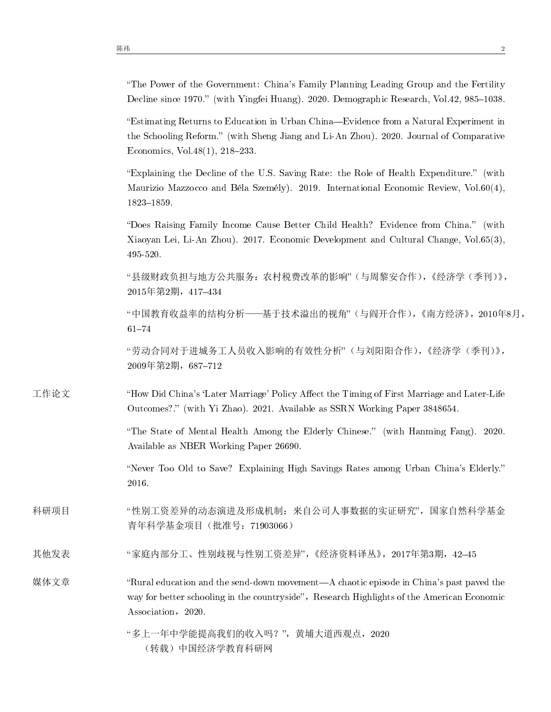"The Power of the Government: China's Family Planning Leading Group and the Fertility Decline since 1970.'' (with Yingfei Huang). 2020. Demographic Research, Vol.42, 985--1038.

``Estimating Returns to Education in Urban China---Evidence from a Natural Experiment in the Schooling Reform.'' (with Sheng Jiang and Li-An Zhou). 2020. Journal of Comparative Economics, Vol.  $48(1)$ ,  $218-233$ .

``Explaining the Decline of the U.S. Saving Rate: the Role of Health Expenditure.'' (with Maurizio Mazzocco and Béla Személy). 2019. International Economic Review, Vol.60(4), 1823--1859.

``Does Raising Family Income Cause Better Child Health? Evidence from China.'' (with Xiaoyan Lei, Li-An Zhou). 2017. Economic Development and Cultural Change, Vol.65(3), 495-520.

``县级财政负担与地方公共服务:农村税费改革的影响''(与周黎安合作),《经济学(季刊)》, 2015年第2期, 417-434

"中国教育收益率的结构分析——基于技术溢出的视角"(与阎开合作),《南方经济》,2010年8月,  $61 - 74$ 

``劳动合同对于进城务工人员收入影响的有效性分析''(与刘阳阳合作),《经济学(季刊)》, 2009年第2期,687--712

工作论文 "How Did China's 'Later Marriage' Policy Affect the Timing of First Marriage and Later-Life Outcomes?.'' (with Yi Zhao). 2021. Available as SSRN Working Paper 3848654.

> ``The State of Mental Health Among the Elderly Chinese.'' (with Hanming Fang). 2020. Available as NBER Working Paper 26690.

> ``Never Too Old to Save? Explaining High Savings Rates among Urban China's Elderly.'' 2016.

科研项目 "性别工资差异的动态演进及形成机制:来自公司人事数据的实证研究",国家自然科学基金 青年科学基金项目(批准号:71903066)

其他发表 ``家庭内部分工、性别歧视与性别工资差异'',《经济资料译丛》,2017年第3期,42--45

媒体文章 **Kanalis** "Rural education and the send-down movement—A chaotic episode in China's past paved the way for better schooling in the countryside", Research Highlights of the American Economic Association, 2020.

> ``多上一年中学能提高我们的收入吗?'',黄埔大道西观点,2020 (转载)中国经济学教育科研网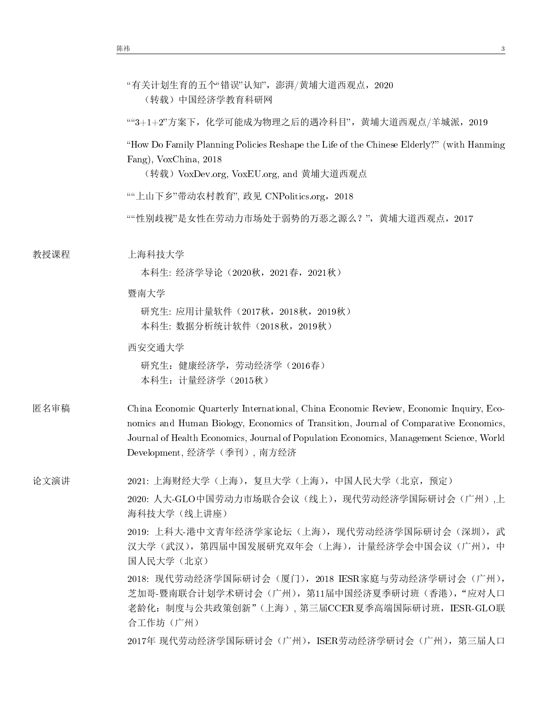|      | "有关计划生育的五个"错误"认知",澎湃/黄埔大道西观点,2020<br>(转载)中国经济学教育科研网                                                                                                                                                                                                                                                     |  |
|------|---------------------------------------------------------------------------------------------------------------------------------------------------------------------------------------------------------------------------------------------------------------------------------------------------------|--|
|      | ""3+1+2"方案下, 化学可能成为物理之后的遇冷科目", 黄埔大道西观点/羊城派, 2019                                                                                                                                                                                                                                                        |  |
|      | "How Do Family Planning Policies Reshape the Life of the Chinese Elderly?" (with Hanming<br>Fang), VoxChina, 2018<br>(转载)VoxDev.org, VoxEU.org, and 黄埔大道西观点                                                                                                                                             |  |
|      | ""上山下乡"带动农村教育", 政见 CNPolitics.org, 2018                                                                                                                                                                                                                                                                 |  |
|      | ""性别歧视"是女性在劳动力市场处于弱势的万恶之源么?",黄埔大道西观点, 2017                                                                                                                                                                                                                                                              |  |
| 教授课程 | 上海科技大学                                                                                                                                                                                                                                                                                                  |  |
|      | 本科生: 经济学导论 (2020秋, 2021春, 2021秋)                                                                                                                                                                                                                                                                        |  |
|      | 暨南大学                                                                                                                                                                                                                                                                                                    |  |
|      | 研究生: 应用计量软件 (2017秋, 2018秋, 2019秋)<br>本科生: 数据分析统计软件 (2018秋, 2019秋)                                                                                                                                                                                                                                       |  |
|      | 西安交通大学                                                                                                                                                                                                                                                                                                  |  |
|      | 研究生: 健康经济学, 劳动经济学 (2016春)<br>本科生: 计量经济学 (2015秋)                                                                                                                                                                                                                                                         |  |
| 匿名审稿 | China Economic Quarterly International, China Economic Review, Economic Inquiry, Eco-<br>nomics and Human Biology, Economics of Transition, Journal of Comparative Economics,<br>Journal of Health Economics, Journal of Population Economics, Management Science, World<br>Development, 经济学 (季刊), 南方经济 |  |
| 论文演讲 | 2021: 上海财经大学 (上海),复旦大学 (上海),中国人民大学 (北京,预定)                                                                                                                                                                                                                                                              |  |
|      | 2020: 人大-GLO中国劳动力市场联合会议(线上),现代劳动经济学国际研讨会(广州),上<br>海科技大学 (线上讲座)                                                                                                                                                                                                                                          |  |
|      | 2019: 上科大-港中文青年经济学家论坛(上海), 现代劳动经济学国际研讨会(深圳), 武<br>汉大学(武汉),第四届中国发展研究双年会(上海),计量经济学会中国会议(广州),中<br>国人民大学 (北京)                                                                                                                                                                                               |  |

2018: 现代劳动经济学国际研讨会(厦门),2018 IESR家庭与劳动经济学研讨会(广州), 芝加哥-暨南联合计划学术研讨会(广州), 第11届中国经济夏季研讨班(香港), "应对人口 老龄化:制度与公共政策创新"(上海), 第三届CCER夏季高端国际研讨班,IESR-GLO联 合工作坊(广州)

2017年 现代劳动经济学国际研讨会(广州),ISER劳动经济学研讨会(广州),第三届人口